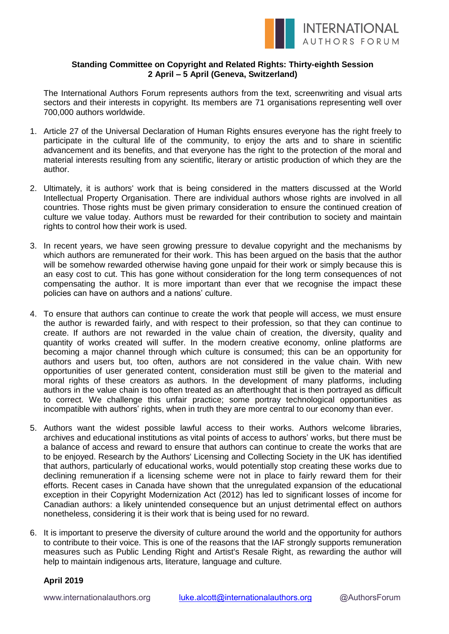

## **Standing Committee on Copyright and Related Rights: Thirty-eighth Session 2 April – 5 April (Geneva, Switzerland)**

The International Authors Forum represents authors from the text, screenwriting and visual arts sectors and their interests in copyright. Its members are 71 organisations representing well over 700,000 authors worldwide.

- 1. Article 27 of the Universal Declaration of Human Rights ensures everyone has the right freely to participate in the cultural life of the community, to enjoy the arts and to share in scientific advancement and its benefits, and that everyone has the right to the protection of the moral and material interests resulting from any scientific, literary or artistic production of which they are the author.
- 2. Ultimately, it is authors' work that is being considered in the matters discussed at the World Intellectual Property Organisation. There are individual authors whose rights are involved in all countries. Those rights must be given primary consideration to ensure the continued creation of culture we value today. Authors must be rewarded for their contribution to society and maintain rights to control how their work is used.
- 3. In recent years, we have seen growing pressure to devalue copyright and the mechanisms by which authors are remunerated for their work. This has been argued on the basis that the author will be somehow rewarded otherwise having gone unpaid for their work or simply because this is an easy cost to cut. This has gone without consideration for the long term consequences of not compensating the author. It is more important than ever that we recognise the impact these policies can have on authors and a nations' culture.
- 4. To ensure that authors can continue to create the work that people will access, we must ensure the author is rewarded fairly, and with respect to their profession, so that they can continue to create. If authors are not rewarded in the value chain of creation, the diversity, quality and quantity of works created will suffer. In the modern creative economy, online platforms are becoming a major channel through which culture is consumed; this can be an opportunity for authors and users but, too often, authors are not considered in the value chain. With new opportunities of user generated content, consideration must still be given to the material and moral rights of these creators as authors. In the development of many platforms, including authors in the value chain is too often treated as an afterthought that is then portrayed as difficult to correct. We challenge this unfair practice; some portray technological opportunities as incompatible with authors' rights, when in truth they are more central to our economy than ever.
- 5. Authors want the widest possible lawful access to their works. Authors welcome libraries, archives and educational institutions as vital points of access to authors' works, but there must be a balance of access and reward to ensure that authors can continue to create the works that are to be enjoyed. Research by the Authors' Licensing and Collecting Society in the UK has identified that authors, particularly of educational works, would potentially stop creating these works due to declining remuneration if a licensing scheme were not in place to fairly reward them for their efforts. Recent cases in Canada have shown that the unregulated expansion of the educational exception in their Copyright Modernization Act (2012) has led to significant losses of income for Canadian authors: a likely unintended consequence but an unjust detrimental effect on authors nonetheless, considering it is their work that is being used for no reward.
- 6. It is important to preserve the diversity of culture around the world and the opportunity for authors to contribute to their voice. This is one of the reasons that the IAF strongly supports remuneration measures such as Public Lending Right and Artist's Resale Right, as rewarding the author will help to maintain indigenous arts, literature, language and culture.

## **April 2019**